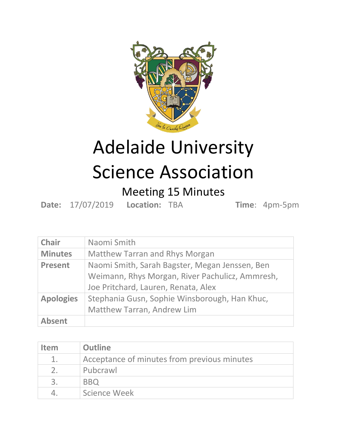

## Adelaide University Science Association

## Meeting 15 Minutes

**Date:** 17/07/2019 **Location:** TBA **Time**: 4pm-5pm

| <b>Chair</b>     | Naomi Smith                                                                                                                              |
|------------------|------------------------------------------------------------------------------------------------------------------------------------------|
| <b>Minutes</b>   | <b>Matthew Tarran and Rhys Morgan</b>                                                                                                    |
| <b>Present</b>   | Naomi Smith, Sarah Bagster, Megan Jenssen, Ben<br>Weimann, Rhys Morgan, River Pachulicz, Ammresh,<br>Joe Pritchard, Lauren, Renata, Alex |
| <b>Apologies</b> | Stephania Gusn, Sophie Winsborough, Han Khuc,<br>Matthew Tarran, Andrew Lim                                                              |
| <b>Absent</b>    |                                                                                                                                          |

| <b>Item</b>   | <b>Outline</b>                              |
|---------------|---------------------------------------------|
| $1_{-}$       | Acceptance of minutes from previous minutes |
| $\mathcal{P}$ | Pubcrawl                                    |
|               | <b>BBO</b>                                  |
|               | Science Week                                |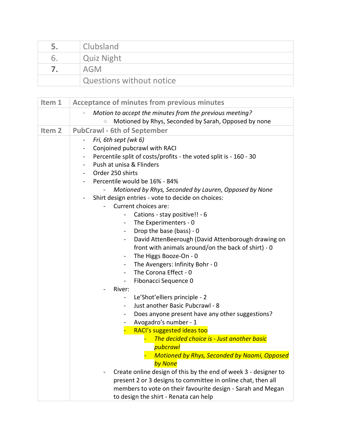| 5. | Clubsland                |
|----|--------------------------|
| ь. | <b>Quiz Night</b>        |
|    | AGM                      |
|    | Questions without notice |

| Item 1            | <b>Acceptance of minutes from previous minutes</b>                                       |
|-------------------|------------------------------------------------------------------------------------------|
|                   | Motion to accept the minutes from the previous meeting?                                  |
|                   | Motioned by Rhys, Seconded by Sarah, Opposed by none<br>$\circ$                          |
| Item <sub>2</sub> | <b>PubCrawl - 6th of September</b>                                                       |
|                   | Fri, 6th sept (wk 6)<br>$\overline{\phantom{0}}$                                         |
|                   | Conjoined pubcrawl with RACI<br>$\qquad \qquad \blacksquare$                             |
|                   | Percentile split of costs/profits - the voted split is - 160 - 30<br>-                   |
|                   | Push at unisa & Flinders                                                                 |
|                   | Order 250 shirts<br>$\blacksquare$                                                       |
|                   | Percentile would be 16% - 84%                                                            |
|                   | Motioned by Rhys, Seconded by Lauren, Opposed by None                                    |
|                   | Shirt design entries - vote to decide on choices:                                        |
|                   | Current choices are:                                                                     |
|                   | Cations - stay positive!! - 6<br>$\overline{\phantom{0}}$                                |
|                   | The Experimenters - 0<br>$\blacksquare$                                                  |
|                   | Drop the base (bass) - 0<br>$\blacksquare$                                               |
|                   | David AttenBeerough (David Attenborough drawing on<br>$\blacksquare$                     |
|                   | front with animals around/on the back of shirt) - 0                                      |
|                   | The Higgs Booze-On - 0<br>$\blacksquare$                                                 |
|                   | The Avengers: Infinity Bohr - 0<br>$\qquad \qquad \blacksquare$<br>The Corona Effect - 0 |
|                   | $\blacksquare$                                                                           |
|                   | Fibonacci Sequence 0<br>$\blacksquare$<br>River:                                         |
|                   | Le'Shot'elliers principle - 2<br>$\blacksquare$                                          |
|                   | Just another Basic Pubcrawl - 8<br>$\blacksquare$                                        |
|                   | Does anyone present have any other suggestions?<br>$\qquad \qquad \blacksquare$          |
|                   | Avogadro's number - 1                                                                    |
|                   | RACI's suggested ideas too                                                               |
|                   | The decided choice is - Just another basic                                               |
|                   | pubcrawl                                                                                 |
|                   | <b>Motioned by Rhys, Seconded by Naomi, Opposed</b>                                      |
|                   | by None                                                                                  |
|                   | Create online design of this by the end of week 3 - designer to                          |
|                   | present 2 or 3 designs to committee in online chat, then all                             |
|                   | members to vote on their favourite design - Sarah and Megan                              |
|                   | to design the shirt - Renata can help                                                    |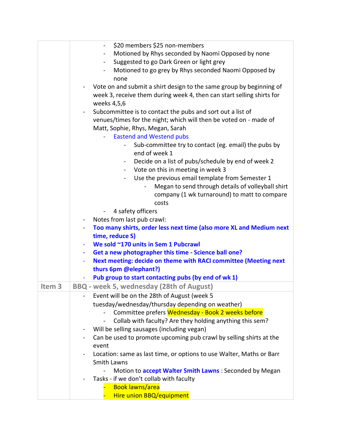|                   | \$20 members \$25 non-members                                                         |
|-------------------|---------------------------------------------------------------------------------------|
|                   | Motioned by Rhys seconded by Naomi Opposed by none<br>$\blacksquare$                  |
|                   | Suggested to go Dark Green or light grey<br>$\blacksquare$                            |
|                   | Motioned to go grey by Rhys seconded Naomi Opposed by                                 |
|                   | none                                                                                  |
|                   | Vote on and submit a shirt design to the same group by beginning of                   |
|                   | week 3, receive them during week 4, then can start selling shirts for                 |
|                   | weeks 4,5,6                                                                           |
|                   | Subcommittee is to contact the pubs and sort out a list of<br>$\blacksquare$          |
|                   | venues/times for the night; which will then be voted on - made of                     |
|                   | Matt, Sophie, Rhys, Megan, Sarah                                                      |
|                   | <b>Eastend and Westend pubs</b><br>÷.                                                 |
|                   | Sub-committee try to contact (eg. email) the pubs by                                  |
|                   | end of week 1                                                                         |
|                   |                                                                                       |
|                   | Decide on a list of pubs/schedule by end of week 2<br>$\sim$                          |
|                   | Vote on this in meeting in week 3<br>$\sim$                                           |
|                   | Use the previous email template from Semester 1                                       |
|                   | Megan to send through details of volleyball shirt                                     |
|                   | company (1 wk turnaround) to matt to compare                                          |
|                   | costs                                                                                 |
|                   | 4 safety officers<br>$\overline{\phantom{0}}$                                         |
|                   | Notes from last pub crawl:<br>$\blacksquare$                                          |
|                   | Too many shirts, order less next time (also more XL and Medium next<br>$\blacksquare$ |
|                   | time, reduce S)                                                                       |
|                   | We sold ~170 units in Sem 1 Pubcrawl                                                  |
|                   | Get a new photographer this time - Science ball one?                                  |
|                   | Next meeting: decide on theme with RACI committee (Meeting next<br>÷                  |
|                   | thurs 6pm @elephant?)                                                                 |
|                   | Pub group to start contacting pubs (by end of wk 1)                                   |
| Item <sub>3</sub> | BBQ - week 5, wednesday (28th of August)                                              |
|                   | Event will be on the 28th of August (week 5                                           |
|                   | tuesday/wednesday/thursday depending on weather)                                      |
|                   | Committee prefers Wednesday - Book 2 weeks before                                     |
|                   | Collab with faculty? Are they holding anything this sem?                              |
|                   | Will be selling sausages (including vegan)<br>$\qquad \qquad \blacksquare$            |
|                   | Can be used to promote upcoming pub crawl by selling shirts at the                    |
|                   | event                                                                                 |
|                   | Location: same as last time, or options to use Walter, Maths or Barr                  |
|                   | <b>Smith Lawns</b>                                                                    |
|                   | Motion to <b>accept Walter Smith Lawns</b> : Seconded by Megan                        |
|                   | Tasks - if we don't collab with faculty                                               |
|                   | <b>Book lawns/area</b>                                                                |
|                   | Hire union BBQ/equipment                                                              |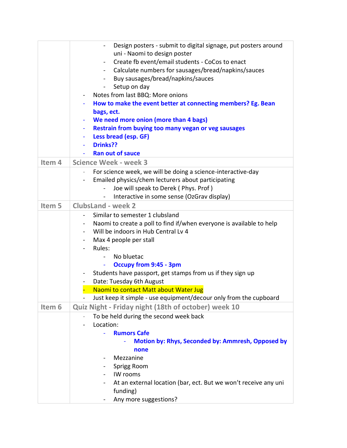|        | Design posters - submit to digital signage, put posters around<br>$\blacksquare$ |
|--------|----------------------------------------------------------------------------------|
|        | uni - Naomi to design poster                                                     |
|        | Create fb event/email students - CoCos to enact<br>$\blacksquare$                |
|        | Calculate numbers for sausages/bread/napkins/sauces                              |
|        | Buy sausages/bread/napkins/sauces<br>$\blacksquare$                              |
|        | Setup on day<br>$\blacksquare$                                                   |
|        | Notes from last BBQ: More onions                                                 |
|        | How to make the event better at connecting members? Eg. Bean                     |
|        | bags, ect.                                                                       |
|        | We need more onion (more than 4 bags)                                            |
|        | Restrain from buying too many vegan or veg sausages<br>$\blacksquare$            |
|        | Less bread (esp. GF)<br>٠                                                        |
|        | Drinks??                                                                         |
|        | <b>Ran out of sauce</b>                                                          |
| Item 4 | <b>Science Week - week 3</b>                                                     |
|        | For science week, we will be doing a science-interactive-day                     |
|        | Emailed physics/chem lecturers about participating                               |
|        | Joe will speak to Derek (Phys. Prof)                                             |
|        | Interactive in some sense (OzGrav display)                                       |
| Item 5 | <b>ClubsLand - week 2</b>                                                        |
|        | Similar to semester 1 clubsland                                                  |
|        | Naomi to create a poll to find if/when everyone is available to help             |
|        | Will be indoors in Hub Central Lv 4                                              |
|        | Max 4 people per stall                                                           |
|        | Rules:                                                                           |
|        | No bluetac                                                                       |
|        | <b>Occupy from 9:45 - 3pm</b>                                                    |
|        | Students have passport, get stamps from us if they sign up                       |
|        | Date: Tuesday 6th August                                                         |
|        | Naomi to contact Matt about Water Jug                                            |
|        | Just keep it simple - use equipment/decour only from the cupboard                |
| Item 6 | Quiz Night - Friday night (18th of october) week 10                              |
|        | To be held during the second week back                                           |
|        | Location:                                                                        |
|        | <b>Rumors Cafe</b>                                                               |
|        | Motion by: Rhys, Seconded by: Ammresh, Opposed by                                |
|        | none                                                                             |
|        | Mezzanine<br>-                                                                   |
|        | Sprigg Room                                                                      |
|        | IW rooms<br>$\qquad \qquad \blacksquare$                                         |
|        | At an external location (bar, ect. But we won't receive any uni                  |
|        | funding)                                                                         |
|        | Any more suggestions?                                                            |